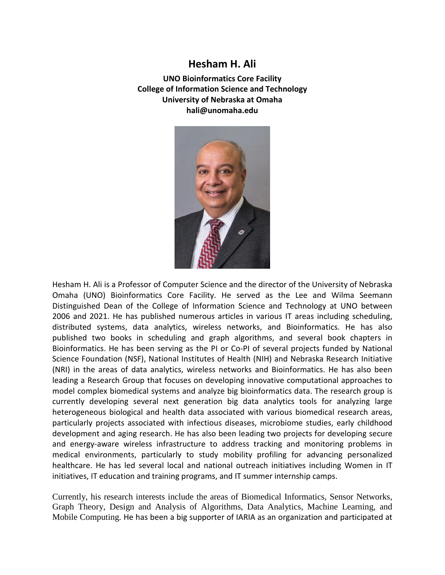## **Hesham H. Ali**

**UNO Bioinformatics Core Facility College of Information Science and Technology University of Nebraska at Omaha hali@unomaha.edu**



Hesham H. Ali is a Professor of Computer Science and the director of the University of Nebraska Omaha (UNO) Bioinformatics Core Facility. He served as the Lee and Wilma Seemann Distinguished Dean of the College of Information Science and Technology at UNO between 2006 and 2021. He has published numerous articles in various IT areas including scheduling, distributed systems, data analytics, wireless networks, and Bioinformatics. He has also published two books in scheduling and graph algorithms, and several book chapters in Bioinformatics. He has been serving as the PI or Co-PI of several projects funded by National Science Foundation (NSF), National Institutes of Health (NIH) and Nebraska Research Initiative (NRI) in the areas of data analytics, wireless networks and Bioinformatics. He has also been leading a Research Group that focuses on developing innovative computational approaches to model complex biomedical systems and analyze big bioinformatics data. The research group is currently developing several next generation big data analytics tools for analyzing large heterogeneous biological and health data associated with various biomedical research areas, particularly projects associated with infectious diseases, microbiome studies, early childhood development and aging research. He has also been leading two projects for developing secure and energy-aware wireless infrastructure to address tracking and monitoring problems in medical environments, particularly to study mobility profiling for advancing personalized healthcare. He has led several local and national outreach initiatives including Women in IT initiatives, IT education and training programs, and IT summer internship camps.

Currently, his research interests include the areas of Biomedical Informatics, Sensor Networks, Graph Theory, Design and Analysis of Algorithms, Data Analytics, Machine Learning, and Mobile Computing. He has been a big supporter of IARIA as an organization and participated at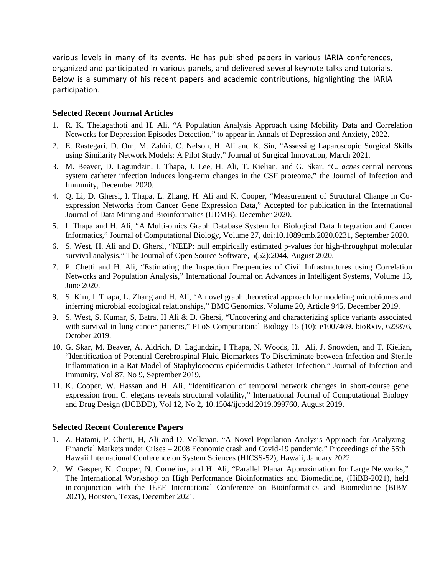various levels in many of its events. He has published papers in various IARIA conferences, organized and participated in various panels, and delivered several keynote talks and tutorials. Below is a summary of his recent papers and academic contributions, highlighting the IARIA participation.

## **Selected Recent Journal Articles**

- 1. R. K. Thelagathoti and H. Ali, "A Population Analysis Approach using Mobility Data and Correlation Networks for Depression Episodes Detection," to appear in Annals of Depression and Anxiety, 2022.
- 2. E. Rastegari, D. Orn, M. Zahiri, C. Nelson, H. Ali and K. Siu, "Assessing Laparoscopic Surgical Skills using Similarity Network Models: A Pilot Study," Journal of Surgical Innovation, March 2021.
- 3. M. Beaver, D. Lagundzin, I. Thapa, J. Lee, H. Ali, T. Kielian, and G. Skar, "*C. acnes* central nervous system catheter infection induces long-term changes in the CSF proteome," the Journal of Infection and Immunity, December 2020.
- 4. Q. Li, D. Ghersi, I. Thapa, L. Zhang, H. Ali and K. Cooper, "Measurement of Structural Change in Coexpression Networks from Cancer Gene Expression Data," Accepted for publication in the International Journal of Data Mining and Bioinformatics (IJDMB), December 2020.
- 5. I. Thapa and H. Ali, "A Multi-omics Graph Database System for Biological Data Integration and Cancer Informatics," Journal of Computational Biology, Volume 27, doi:10.1089cmb.2020.0231, September 2020.
- 6. S. West, H. Ali and D. Ghersi, "NEEP: null empirically estimated p-values for high-throughput molecular survival analysis," The Journal of Open Source Software, 5(52):2044, August 2020.
- 7. P. Chetti and H. Ali, "Estimating the Inspection Frequencies of Civil Infrastructures using Correlation Networks and Population Analysis," International Journal on Advances in Intelligent Systems, Volume 13, June 2020.
- 8. S. Kim, I. Thapa, L. Zhang and H. Ali, "A novel graph theoretical approach for modeling microbiomes and inferring microbial ecological relationships," BMC Genomics, Volume 20, Article 945, December 2019.
- 9. S. West, S. Kumar, S, Batra, H Ali & D. Ghersi, "Uncovering and characterizing splice variants associated with survival in lung cancer patients," PLoS Computational Biology 15 (10): e1007469. bioRxiv, 623876, October 2019.
- 10. G. Skar, M. Beaver, A. Aldrich, D. Lagundzin, I Thapa, N. Woods, H. Ali, J. Snowden, and T. Kielian, "Identification of Potential Cerebrospinal Fluid Biomarkers To Discriminate between Infection and Sterile Inflammation in a Rat Model of Staphylococcus epidermidis Catheter Infection," Journal of Infection and Immunity, Vol 87, No 9, September 2019.
- 11. K. Cooper, W. Hassan and H. Ali, "Identification of temporal network changes in short-course gene expression from C. elegans reveals structural volatility," International Journal of Computational Biology and Drug Design (IJCBDD), Vol 12, No 2, 10.1504/ijcbdd.2019.099760, August 2019.

## **Selected Recent Conference Papers**

- 1. Z. Hatami, P. Chetti, H, Ali and D. Volkman, "A Novel Population Analysis Approach for Analyzing Financial Markets under Crises – 2008 Economic crash and Covid-19 pandemic," Proceedings of the 55th Hawaii International Conference on System Sciences (HICSS-52), Hawaii, January 2022.
- 2. W. Gasper, K. Cooper, N. Cornelius, and H. Ali, "Parallel Planar Approximation for Large Networks," The International Workshop on High Performance Bioinformatics and Biomedicine, (HiBB-2021), held in conjunction with the IEEE International Conference on Bioinformatics and Biomedicine (BIBM 2021), Houston, Texas, December 2021.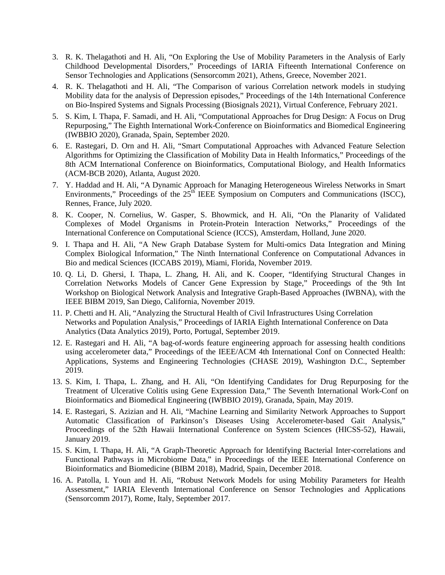- 3. R. K. Thelagathoti and H. Ali, "On Exploring the Use of Mobility Parameters in the Analysis of Early Childhood Developmental Disorders," Proceedings of IARIA Fifteenth International Conference on Sensor Technologies and Applications (Sensorcomm 2021), Athens, Greece, November 2021.
- 4. R. K. Thelagathoti and H. Ali, "The Comparison of various Correlation network models in studying Mobility data for the analysis of Depression episodes," Proceedings of the 14th International Conference on Bio-Inspired Systems and Signals Processing (Biosignals 2021), Virtual Conference, February 2021.
- 5. S. Kim, I. Thapa, F. Samadi, and H. Ali, "Computational Approaches for Drug Design: A Focus on Drug Repurposing," The Eighth International Work-Conference on Bioinformatics and Biomedical Engineering (IWBBIO 2020), Granada, Spain, September 2020.
- 6. E. Rastegari, D. Orn and H. Ali, "Smart Computational Approaches with Advanced Feature Selection Algorithms for Optimizing the Classification of Mobility Data in Health Informatics," Proceedings of the 8th ACM International Conference on Bioinformatics, Computational Biology, and Health Informatics (ACM-BCB 2020), Atlanta, August 2020.
- 7. Y. Haddad and H. Ali, "A Dynamic Approach for Managing Heterogeneous Wireless Networks in Smart Environments," Proceedings of the  $25<sup>th</sup>$  IEEE Symposium on Computers and Communications (ISCC), Rennes, France, July 2020.
- 8. K. Cooper, N. Cornelius, W. Gasper, S. Bhowmick, and H. Ali, "On the Planarity of Validated Complexes of Model Organisms in Protein-Protein Interaction Networks," Proceedings of the International Conference on Computational Science (ICCS), Amsterdam, Holland, June 2020.
- 9. I. Thapa and H. Ali, "A New Graph Database System for Multi-omics Data Integration and Mining Complex Biological Information," The Ninth International Conference on Computational Advances in Bio and medical Sciences (ICCABS 2019), Miami, Florida, November 2019.
- 10. Q. Li, D. Ghersi, I. Thapa, L. Zhang, H. Ali, and K. Cooper, "Identifying Structural Changes in Correlation Networks Models of Cancer Gene Expression by Stage," Proceedings of the 9th Int Workshop on Biological Network Analysis and Integrative Graph-Based Approaches (IWBNA), with the IEEE BIBM 2019, San Diego, California, November 2019.
- 11. P. Chetti and H. Ali, "Analyzing the Structural Health of Civil Infrastructures Using Correlation Networks and Population Analysis," Proceedings of IARIA Eighth International Conference on Data Analytics (Data Analytics 2019), Porto, Portugal, September 2019.
- 12. E. Rastegari and H. Ali, "A bag-of-words feature engineering approach for assessing health conditions using accelerometer data," Proceedings of the IEEE/ACM 4th International Conf on Connected Health: Applications, Systems and Engineering Technologies (CHASE 2019), Washington D.C., September 2019.
- 13. S. Kim, I. Thapa, L. Zhang, and H. Ali, "On Identifying Candidates for Drug Repurposing for the Treatment of Ulcerative Colitis using Gene Expression Data," The Seventh International Work-Conf on Bioinformatics and Biomedical Engineering (IWBBIO 2019), Granada, Spain, May 2019.
- 14. E. Rastegari, S. Azizian and H. Ali, "Machine Learning and Similarity Network Approaches to Support Automatic Classification of Parkinson's Diseases Using Accelerometer-based Gait Analysis," Proceedings of the 52th Hawaii International Conference on System Sciences (HICSS-52), Hawaii, January 2019.
- 15. S. Kim, I. Thapa, H. Ali, "A Graph-Theoretic Approach for Identifying Bacterial Inter-correlations and Functional Pathways in Microbiome Data," in Proceedings of the IEEE International Conference on Bioinformatics and Biomedicine (BIBM 2018), Madrid, Spain, December 2018.
- 16. A. Patolla, I. Youn and H. Ali, "Robust Network Models for using Mobility Parameters for Health Assessment," IARIA Eleventh International Conference on Sensor Technologies and Applications (Sensorcomm 2017), Rome, Italy, September 2017.